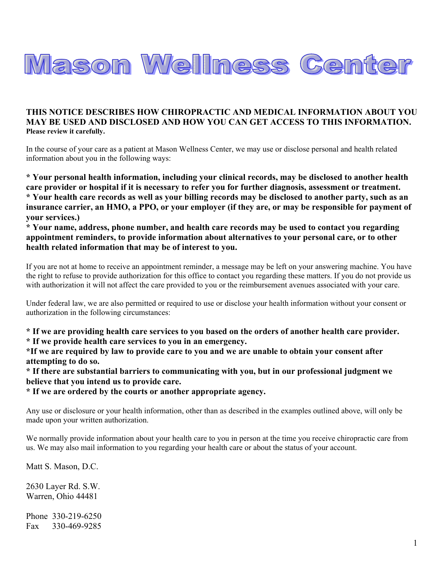

## **THIS NOTICE DESCRIBES HOW CHIROPRACTIC AND MEDICAL INFORMATION ABOUT YOU MAY BE USED AND DISCLOSED AND HOW YOU CAN GET ACCESS TO THIS INFORMATION. Please review it carefully.**

In the course of your care as a patient at Mason Wellness Center, we may use or disclose personal and health related information about you in the following ways:

**\* Your personal health information, including your clinical records, may be disclosed to another health care provider or hospital if it is necessary to refer you for further diagnosis, assessment or treatment. \* Your health care records as well as your billing records may be disclosed to another party, such as an insurance carrier, an HMO, a PPO, or your employer (if they are, or may be responsible for payment of your services.)** 

**\* Your name, address, phone number, and health care records may be used to contact you regarding appointment reminders, to provide information about alternatives to your personal care, or to other health related information that may be of interest to you.** 

If you are not at home to receive an appointment reminder, a message may be left on your answering machine. You have the right to refuse to provide authorization for this office to contact you regarding these matters. If you do not provide us with authorization it will not affect the care provided to you or the reimbursement avenues associated with your care.

Under federal law, we are also permitted or required to use or disclose your health information without your consent or authorization in the following circumstances:

**\* If we are providing health care services to you based on the orders of another health care provider. \* If we provide health care services to you in an emergency.** 

**\*If we are required by law to provide care to you and we are unable to obtain your consent after attempting to do so.** 

**\* If there are substantial barriers to communicating with you, but in our professional judgment we believe that you intend us to provide care.** 

**\* If we are ordered by the courts or another appropriate agency.** 

Any use or disclosure or your health information, other than as described in the examples outlined above, will only be made upon your written authorization.

We normally provide information about your health care to you in person at the time you receive chiropractic care from us. We may also mail information to you regarding your health care or about the status of your account.

Matt S. Mason, D.C.

2630 Layer Rd. S.W. Warren, Ohio 44481

Phone 330-219-6250 Fax 330-469-9285